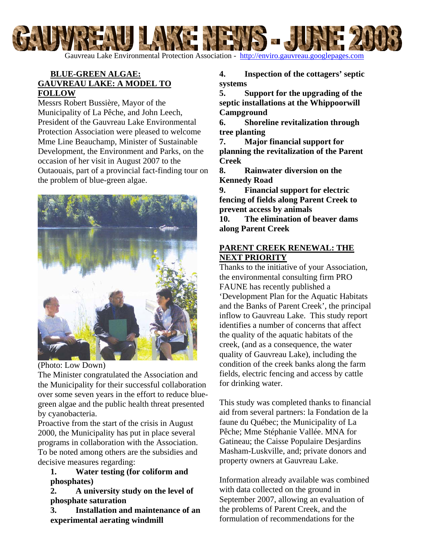

Gauvreau Lake Environmental Protection Association - [http://enviro.gauvreau.googlepages.com](http://enviro.gauvreau.googlepages.com/) 

# **BLUE-GREEN ALGAE: GAUVREAU LAKE: A MODEL TO FOLLOW**

Messrs Robert Bussière, Mayor of the Municipality of La Pêche, and John Leech, President of the Gauvreau Lake Environmental Protection Association were pleased to welcome Mme Line Beauchamp, Minister of Sustainable Development, the Environment and Parks, on the occasion of her visit in August 2007 to the Outaouais, part of a provincial fact-finding tour on the problem of blue-green algae.



(Photo: Low Down)

The Minister congratulated the Association and the Municipality for their successful collaboration over some seven years in the effort to reduce bluegreen algae and the public health threat presented by cyanobacteria.

Proactive from the start of the crisis in August 2000, the Municipality has put in place several programs in collaboration with the Association. To be noted among others are the subsidies and decisive measures regarding:

**1. Water testing (for coliform and phosphates)** 

**2. A university study on the level of phosphate saturation** 

**3. Installation and maintenance of an experimental aerating windmill** 

**4. Inspection of the cottagers' septic systems** 

**5. Support for the upgrading of the septic installations at the Whippoorwill Campground** 

**6. Shoreline revitalization through tree planting**

**7. Major financial support for planning the revitalization of the Parent Creek** 

**8. Rainwater diversion on the Kennedy Road** 

**9. Financial support for electric fencing of fields along Parent Creek to prevent access by animals 10. The elimination of beaver dams** 

**along Parent Creek** 

# **PARENT CREEK RENEWAL: THE NEXT PRIORITY**

Thanks to the initiative of your Association, the environmental consulting firm PRO FAUNE has recently published a 'Development Plan for the Aquatic Habitats and the Banks of Parent Creek', the principal inflow to Gauvreau Lake. This study report identifies a number of concerns that affect the quality of the aquatic habitats of the creek, (and as a consequence, the water quality of Gauvreau Lake), including the condition of the creek banks along the farm fields, electric fencing and access by cattle for drinking water.

This study was completed thanks to financial aid from several partners: la Fondation de la faune du Québec; the Municipality of La Pêche; Mme Stéphanie Vallée. MNA for Gatineau; the Caisse Populaire Desjardins Masham-Luskville, and; private donors and property owners at Gauvreau Lake.

Information already available was combined with data collected on the ground in September 2007, allowing an evaluation of the problems of Parent Creek, and the formulation of recommendations for the